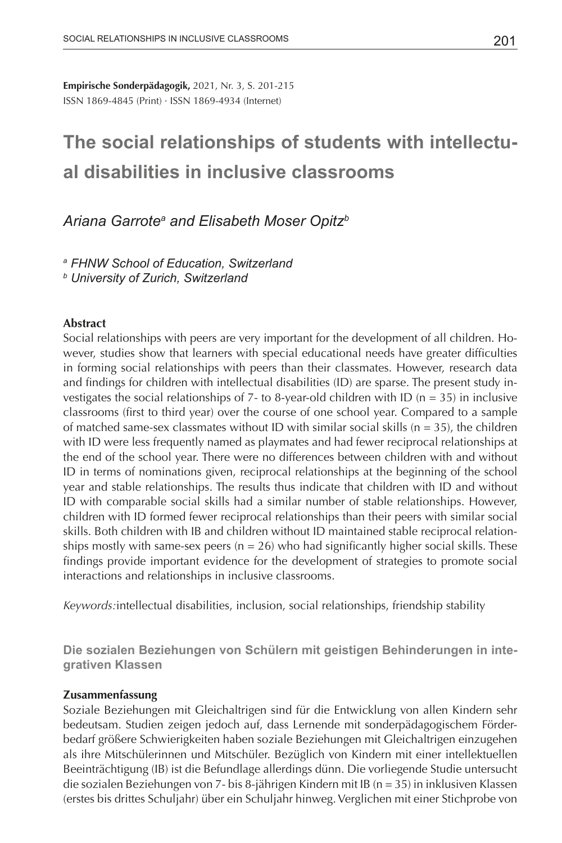**Empirische Sonderpädagogik,** 2021, Nr. 3, S. 201-215 ISSN 1869-4845 (Print) · ISSN 1869-4934 (Internet)

# **The social relationships of students with intellectual disabilities in inclusive classrooms**

# *Ariana Garrotea and Elisabeth Moser Opitzb*

*a FHNW School of Education, Switzerland*

*b University of Zurich, Switzerland*

# **Abstract**

Social relationships with peers are very important for the development of all children. However, studies show that learners with special educational needs have greater difficulties in forming social relationships with peers than their classmates. However, research data and findings for children with intellectual disabilities (ID) are sparse. The present study investigates the social relationships of 7- to 8-year-old children with ID ( $n = 35$ ) in inclusive classrooms (first to third year) over the course of one school year. Compared to a sample of matched same-sex classmates without ID with similar social skills ( $n = 35$ ), the children with ID were less frequently named as playmates and had fewer reciprocal relationships at the end of the school year. There were no differences between children with and without ID in terms of nominations given, reciprocal relationships at the beginning of the school year and stable relationships. The results thus indicate that children with ID and without ID with comparable social skills had a similar number of stable relationships. However, children with ID formed fewer reciprocal relationships than their peers with similar social skills. Both children with IB and children without ID maintained stable reciprocal relationships mostly with same-sex peers ( $n = 26$ ) who had significantly higher social skills. These findings provide important evidence for the development of strategies to promote social interactions and relationships in inclusive classrooms.

*Keywords:*intellectual disabilities, inclusion, social relationships, friendship stability

**Die sozialen Beziehungen von Schülern mit geistigen Behinderungen in integrativen Klassen**

### **Zusammenfassung**

Soziale Beziehungen mit Gleichaltrigen sind für die Entwicklung von allen Kindern sehr bedeutsam. Studien zeigen jedoch auf, dass Lernende mit sonderpädagogischem Förderbedarf größere Schwierigkeiten haben soziale Beziehungen mit Gleichaltrigen einzugehen als ihre Mitschülerinnen und Mitschüler. Bezüglich von Kindern mit einer intellektuellen Beeinträchtigung (IB) ist die Befundlage allerdings dünn. Die vorliegende Studie untersucht die sozialen Beziehungen von 7- bis 8-jährigen Kindern mit IB (n = 35) in inklusiven Klassen (erstes bis drittes Schuljahr) über ein Schuljahr hinweg. Verglichen mit einer Stichprobe von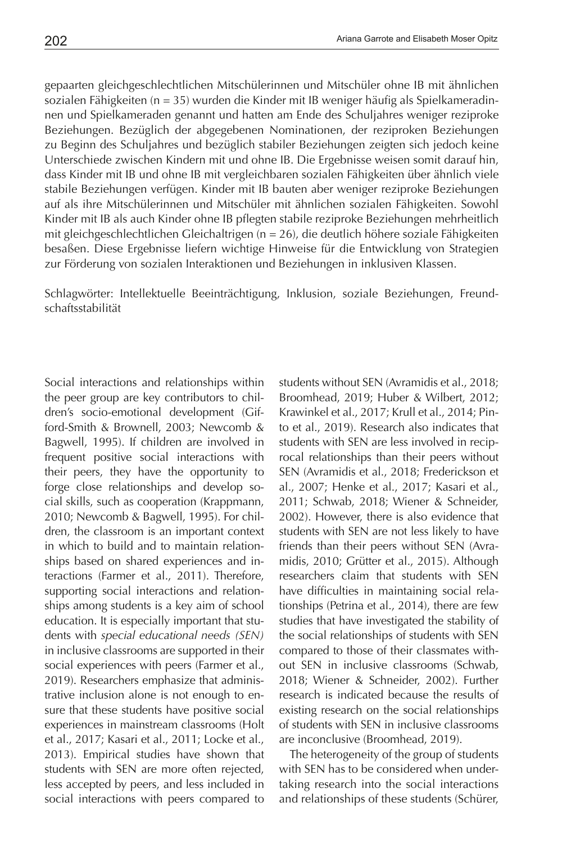gepaarten gleichgeschlechtlichen Mitschülerinnen und Mitschüler ohne IB mit ähnlichen sozialen Fähigkeiten (n = 35) wurden die Kinder mit IB weniger häufig als Spielkameradinnen und Spielkameraden genannt und hatten am Ende des Schuljahres weniger reziproke Beziehungen. Bezüglich der abgegebenen Nominationen, der reziproken Beziehungen zu Beginn des Schuljahres und bezüglich stabiler Beziehungen zeigten sich jedoch keine Unterschiede zwischen Kindern mit und ohne IB. Die Ergebnisse weisen somit darauf hin, dass Kinder mit IB und ohne IB mit vergleichbaren sozialen Fähigkeiten über ähnlich viele stabile Beziehungen verfügen. Kinder mit IB bauten aber weniger reziproke Beziehungen auf als ihre Mitschülerinnen und Mitschüler mit ähnlichen sozialen Fähigkeiten. Sowohl Kinder mit IB als auch Kinder ohne IB pflegten stabile reziproke Beziehungen mehrheitlich mit gleichgeschlechtlichen Gleichaltrigen ( $n = 26$ ), die deutlich höhere soziale Fähigkeiten besaßen. Diese Ergebnisse liefern wichtige Hinweise für die Entwicklung von Strategien zur Förderung von sozialen Interaktionen und Beziehungen in inklusiven Klassen.

Schlagwörter: Intellektuelle Beeinträchtigung, Inklusion, soziale Beziehungen, Freundschaftsstabilität

Social interactions and relationships within the peer group are key contributors to children's socio-emotional development (Gifford-Smith & Brownell, 2003; Newcomb & Bagwell, 1995). If children are involved in frequent positive social interactions with their peers, they have the opportunity to forge close relationships and develop social skills, such as cooperation (Krappmann, 2010; Newcomb & Bagwell, 1995). For children, the classroom is an important context in which to build and to maintain relationships based on shared experiences and interactions (Farmer et al., 2011). Therefore, supporting social interactions and relationships among students is a key aim of school education. It is especially important that students with *special educational needs (SEN)* in inclusive classrooms are supported in their social experiences with peers (Farmer et al., 2019). Researchers emphasize that administrative inclusion alone is not enough to ensure that these students have positive social experiences in mainstream classrooms (Holt et al., 2017; Kasari et al., 2011; Locke et al., 2013). Empirical studies have shown that students with SEN are more often rejected, less accepted by peers, and less included in social interactions with peers compared to

students without SEN (Avramidis et al., 2018; Broomhead, 2019; Huber & Wilbert, 2012; Krawinkel et al., 2017; Krull et al., 2014; Pinto et al., 2019). Research also indicates that students with SEN are less involved in reciprocal relationships than their peers without SEN (Avramidis et al., 2018; Frederickson et al., 2007; Henke et al., 2017; Kasari et al., 2011; Schwab, 2018; Wiener & Schneider, 2002). However, there is also evidence that students with SEN are not less likely to have friends than their peers without SEN (Avramidis, 2010; Grütter et al., 2015). Although researchers claim that students with SEN have difficulties in maintaining social relationships (Petrina et al., 2014), there are few studies that have investigated the stability of the social relationships of students with SEN compared to those of their classmates without SEN in inclusive classrooms (Schwab, 2018; Wiener & Schneider, 2002). Further research is indicated because the results of existing research on the social relationships of students with SEN in inclusive classrooms are inconclusive (Broomhead, 2019).

The heterogeneity of the group of students with SEN has to be considered when undertaking research into the social interactions and relationships of these students (Schürer,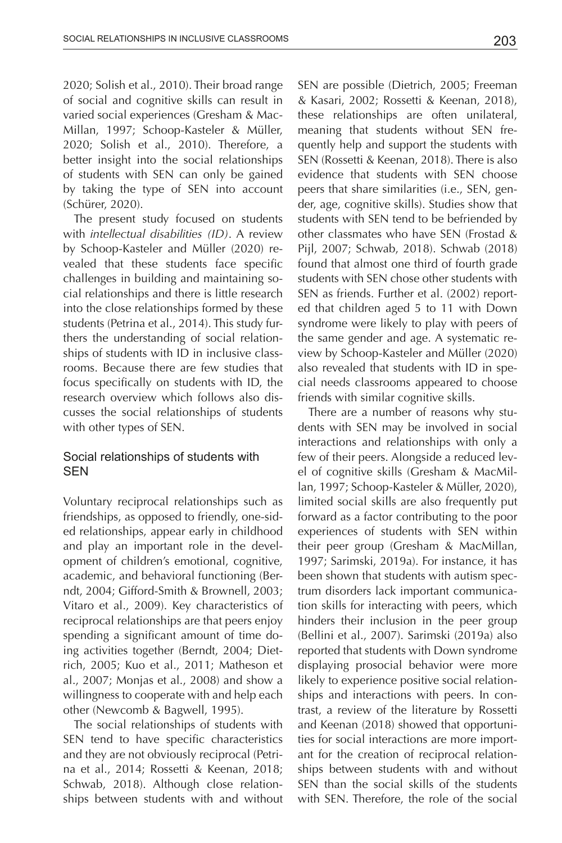2020; Solish et al., 2010). Their broad range of social and cognitive skills can result in varied social experiences (Gresham & Mac-Millan, 1997; Schoop-Kasteler & Müller, 2020; Solish et al., 2010). Therefore, a better insight into the social relationships of students with SEN can only be gained by taking the type of SEN into account (Schürer, 2020).

The present study focused on students with *intellectual disabilities (ID)*. A review by Schoop-Kasteler and Müller (2020) revealed that these students face specific challenges in building and maintaining social relationships and there is little research into the close relationships formed by these students (Petrina et al., 2014). This study furthers the understanding of social relationships of students with ID in inclusive classrooms. Because there are few studies that focus specifically on students with ID, the research overview which follows also discusses the social relationships of students with other types of SEN.

# Social relationships of students with SEN

Voluntary reciprocal relationships such as friendships, as opposed to friendly, one-sided relationships, appear early in childhood and play an important role in the development of children's emotional, cognitive, academic, and behavioral functioning (Berndt, 2004; Gifford-Smith & Brownell, 2003; Vitaro et al., 2009). Key characteristics of reciprocal relationships are that peers enjoy spending a significant amount of time doing activities together (Berndt, 2004; Dietrich, 2005; Kuo et al., 2011; Matheson et al., 2007; Monjas et al., 2008) and show a willingness to cooperate with and help each other (Newcomb & Bagwell, 1995).

The social relationships of students with SEN tend to have specific characteristics and they are not obviously reciprocal (Petrina et al., 2014; Rossetti & Keenan, 2018; Schwab, 2018). Although close relationships between students with and without SEN are possible (Dietrich, 2005; Freeman & Kasari, 2002; Rossetti & Keenan, 2018), these relationships are often unilateral, meaning that students without SEN frequently help and support the students with SEN (Rossetti & Keenan, 2018). There is also evidence that students with SEN choose peers that share similarities (i.e., SEN, gender, age, cognitive skills). Studies show that students with SEN tend to be befriended by other classmates who have SEN (Frostad & Pijl, 2007; Schwab, 2018). Schwab (2018) found that almost one third of fourth grade students with SEN chose other students with SEN as friends. Further et al. (2002) reported that children aged 5 to 11 with Down syndrome were likely to play with peers of the same gender and age. A systematic review by Schoop-Kasteler and Müller (2020) also revealed that students with ID in special needs classrooms appeared to choose friends with similar cognitive skills.

There are a number of reasons why students with SEN may be involved in social interactions and relationships with only a few of their peers. Alongside a reduced level of cognitive skills (Gresham & MacMillan, 1997; Schoop-Kasteler & Müller, 2020), limited social skills are also frequently put forward as a factor contributing to the poor experiences of students with SEN within their peer group (Gresham & MacMillan, 1997; Sarimski, 2019a). For instance, it has been shown that students with autism spectrum disorders lack important communication skills for interacting with peers, which hinders their inclusion in the peer group (Bellini et al., 2007). Sarimski (2019a) also reported that students with Down syndrome displaying prosocial behavior were more likely to experience positive social relationships and interactions with peers. In contrast, a review of the literature by Rossetti and Keenan (2018) showed that opportunities for social interactions are more important for the creation of reciprocal relationships between students with and without SEN than the social skills of the students with SEN. Therefore, the role of the social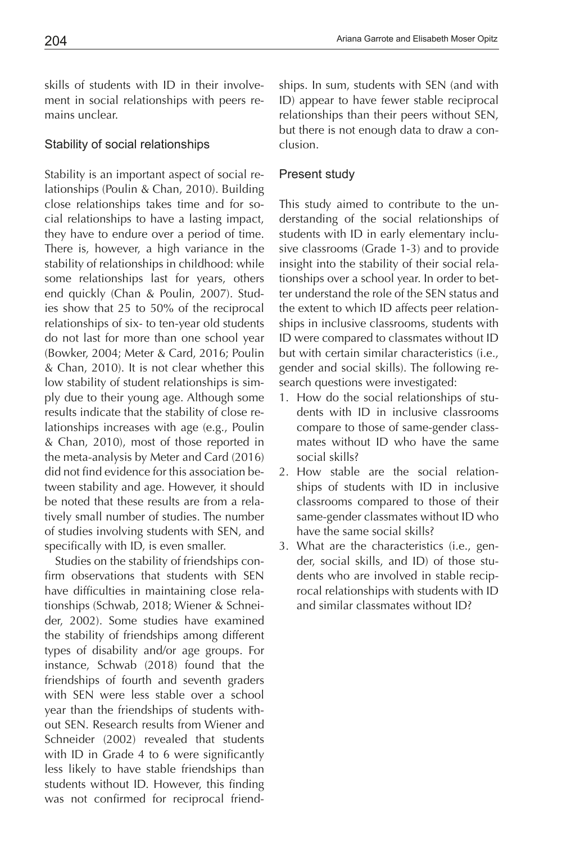skills of students with ID in their involvement in social relationships with peers remains unclear.

# Stability of social relationships

Stability is an important aspect of social relationships (Poulin & Chan, 2010). Building close relationships takes time and for social relationships to have a lasting impact, they have to endure over a period of time. There is, however, a high variance in the stability of relationships in childhood: while some relationships last for years, others end quickly (Chan & Poulin, 2007). Studies show that 25 to 50% of the reciprocal relationships of six- to ten-year old students do not last for more than one school year (Bowker, 2004; Meter & Card, 2016; Poulin & Chan, 2010). It is not clear whether this low stability of student relationships is simply due to their young age. Although some results indicate that the stability of close relationships increases with age (e.g., Poulin & Chan, 2010), most of those reported in the meta-analysis by Meter and Card (2016) did not find evidence for this association between stability and age. However, it should be noted that these results are from a relatively small number of studies. The number of studies involving students with SEN, and specifically with ID, is even smaller.

Studies on the stability of friendships confirm observations that students with SEN have difficulties in maintaining close relationships (Schwab, 2018; Wiener & Schneider, 2002). Some studies have examined the stability of friendships among different types of disability and/or age groups. For instance, Schwab (2018) found that the friendships of fourth and seventh graders with SEN were less stable over a school year than the friendships of students without SEN. Research results from Wiener and Schneider (2002) revealed that students with ID in Grade 4 to 6 were significantly less likely to have stable friendships than students without ID. However, this finding was not confirmed for reciprocal friendships. In sum, students with SEN (and with ID) appear to have fewer stable reciprocal relationships than their peers without SEN, but there is not enough data to draw a conclusion.

# Present study

This study aimed to contribute to the understanding of the social relationships of students with ID in early elementary inclusive classrooms (Grade 1-3) and to provide insight into the stability of their social relationships over a school year. In order to better understand the role of the SEN status and the extent to which ID affects peer relationships in inclusive classrooms, students with ID were compared to classmates without ID but with certain similar characteristics (i.e., gender and social skills). The following research questions were investigated:

- 1. How do the social relationships of students with ID in inclusive classrooms compare to those of same-gender classmates without ID who have the same social skills?
- 2. How stable are the social relationships of students with ID in inclusive classrooms compared to those of their same-gender classmates without ID who have the same social skills?
- 3. What are the characteristics (i.e., gender, social skills, and ID) of those students who are involved in stable reciprocal relationships with students with ID and similar classmates without ID?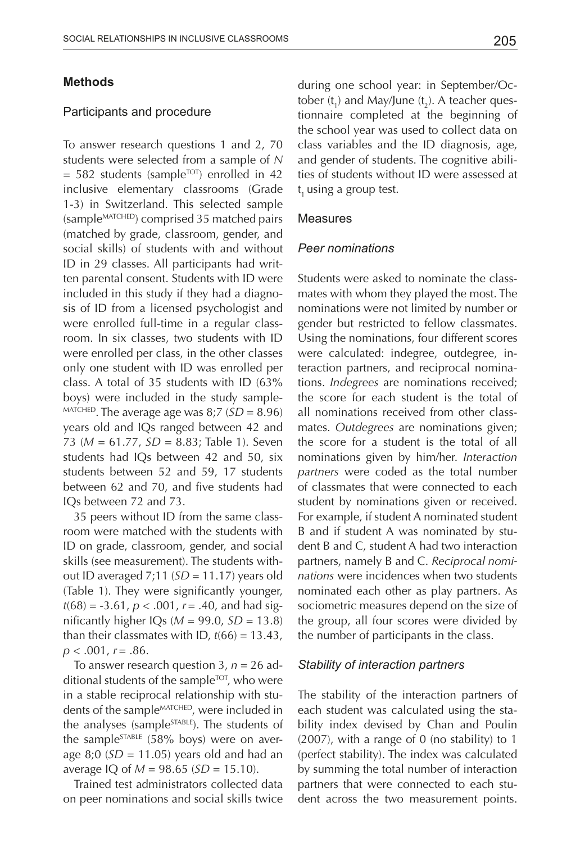### **Methods**

#### Participants and procedure

To answer research questions 1 and 2, 70 students were selected from a sample of *N*   $= 582$  students (sample<sup>TOT</sup>) enrolled in 42 inclusive elementary classrooms (Grade 1-3) in Switzerland. This selected sample (sampleMATCHED) comprised 35 matched pairs (matched by grade, classroom, gender, and social skills) of students with and without ID in 29 classes. All participants had written parental consent. Students with ID were included in this study if they had a diagnosis of ID from a licensed psychologist and were enrolled full-time in a regular classroom. In six classes, two students with ID were enrolled per class, in the other classes only one student with ID was enrolled per class. A total of 35 students with ID (63% boys) were included in the study sample-  $MATCHED$ . The average age was 8;7 ( $SD = 8.96$ ) years old and IQs ranged between 42 and 73 (*M* = 61.77, *SD* = 8.83; Table 1). Seven students had IQs between 42 and 50, six students between 52 and 59, 17 students between 62 and 70, and five students had IQs between 72 and 73.

35 peers without ID from the same classroom were matched with the students with ID on grade, classroom, gender, and social skills (see measurement). The students without ID averaged 7;11 (*SD* = 11.17) years old (Table 1). They were significantly younger,  $t(68) = -3.61$ ,  $p < .001$ ,  $r = .40$ , and had significantly higher IQs ( $M = 99.0$ ,  $SD = 13.8$ ) than their classmates with ID,  $t(66) = 13.43$ , *p* < .001, *r* = .86.

To answer research question 3, *n* = 26 additional students of the sample<sup>TOT</sup>, who were in a stable reciprocal relationship with students of the sample<sup>MATCHED</sup>, were included in the analyses (sample<sup>STABLE</sup>). The students of the sample $STABLE$  (58% boys) were on average 8;0 (*SD* = 11.05) years old and had an average IQ of *M* = 98.65 (*SD* = 15.10).

Trained test administrators collected data on peer nominations and social skills twice

during one school year: in September/October ( $t_1$ ) and May/June ( $t_2$ ). A teacher questionnaire completed at the beginning of the school year was used to collect data on class variables and the ID diagnosis, age, and gender of students. The cognitive abilities of students without ID were assessed at t 1 using a group test.

#### Measures

#### *Peer nominations*

Students were asked to nominate the classmates with whom they played the most. The nominations were not limited by number or gender but restricted to fellow classmates. Using the nominations, four different scores were calculated: indegree, outdegree, interaction partners, and reciprocal nominations. *Indegrees* are nominations received; the score for each student is the total of all nominations received from other classmates. *Outdegrees* are nominations given; the score for a student is the total of all nominations given by him/her. *Interaction partners* were coded as the total number of classmates that were connected to each student by nominations given or received. For example, if student A nominated student B and if student A was nominated by student B and C, student A had two interaction partners, namely B and C. *Reciprocal nominations* were incidences when two students nominated each other as play partners. As sociometric measures depend on the size of the group, all four scores were divided by the number of participants in the class.

#### *Stability of interaction partners*

The stability of the interaction partners of each student was calculated using the stability index devised by Chan and Poulin  $(2007)$ , with a range of 0 (no stability) to 1 (perfect stability). The index was calculated by summing the total number of interaction partners that were connected to each student across the two measurement points.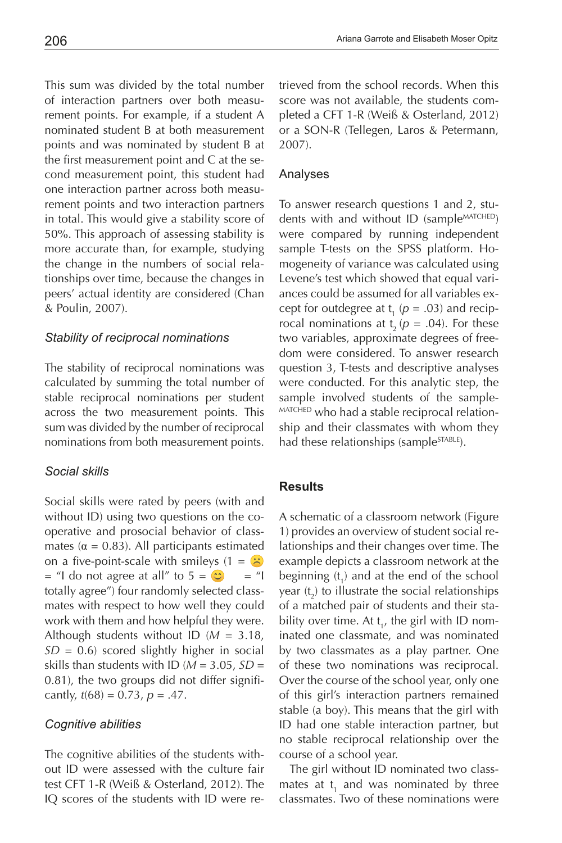This sum was divided by the total number of interaction partners over both measurement points. For example, if a student A nominated student B at both measurement points and was nominated by student B at the first measurement point and C at the second measurement point, this student had one interaction partner across both measurement points and two interaction partners in total. This would give a stability score of 50%. This approach of assessing stability is more accurate than, for example, studying the change in the numbers of social relationships over time, because the changes in peers' actual identity are considered (Chan & Poulin, 2007).

# *Stability of reciprocal nominations*

The stability of reciprocal nominations was calculated by summing the total number of stable reciprocal nominations per student across the two measurement points. This sum was divided by the number of reciprocal nominations from both measurement points.

# *Social skills*

Social skills were rated by peers (with and without ID) using two questions on the cooperative and prosocial behavior of classmates ( $\alpha$  = 0.83). All participants estimated on a five-point-scale with smileys  $(1 = \infty)$  $=$  "I do not agree at all" to  $5 = \circ \circ$  = "I totally agree") four randomly selected classmates with respect to how well they could work with them and how helpful they were. Although students without ID (*M* = 3.18, *SD* = 0.6) scored slightly higher in social skills than students with ID ( $M = 3.05$ ,  $SD =$ 0.81), the two groups did not differ significantly,  $t(68) = 0.73$ ,  $p = .47$ .

# *Cognitive abilities*

The cognitive abilities of the students without ID were assessed with the culture fair test CFT 1-R (Weiß & Osterland, 2012). The IQ scores of the students with ID were retrieved from the school records. When this score was not available, the students completed a CFT 1-R (Weiß & Osterland, 2012) or a SON-R (Tellegen, Laros & Petermann, 2007).

# Analyses

To answer research questions 1 and 2, students with and without ID (sample<sup>MATCHED</sup>) were compared by running independent sample T-tests on the SPSS platform. Homogeneity of variance was calculated using Levene's test which showed that equal variances could be assumed for all variables except for outdegree at  $t_1$  ( $p = .03$ ) and reciprocal nominations at  $t<sub>2</sub>$  ( $p = .04$ ). For these two variables, approximate degrees of freedom were considered. To answer research question 3, T-tests and descriptive analyses were conducted. For this analytic step, the sample involved students of the sample- MATCHED who had a stable reciprocal relationship and their classmates with whom they had these relationships (sample<sup>STABLE</sup>).

# **Results**

A schematic of a classroom network (Figure 1) provides an overview of student social relationships and their changes over time. The example depicts a classroom network at the beginning  $(t_1)$  and at the end of the school year  $(t_2)$  to illustrate the social relationships of a matched pair of students and their stability over time. At  $t_{1}$ , the girl with ID nominated one classmate, and was nominated by two classmates as a play partner. One of these two nominations was reciprocal. Over the course of the school year, only one of this girl's interaction partners remained stable (a boy). This means that the girl with ID had one stable interaction partner, but no stable reciprocal relationship over the course of a school year.

The girl without ID nominated two classmates at  $t_1$  and was nominated by three classmates. Two of these nominations were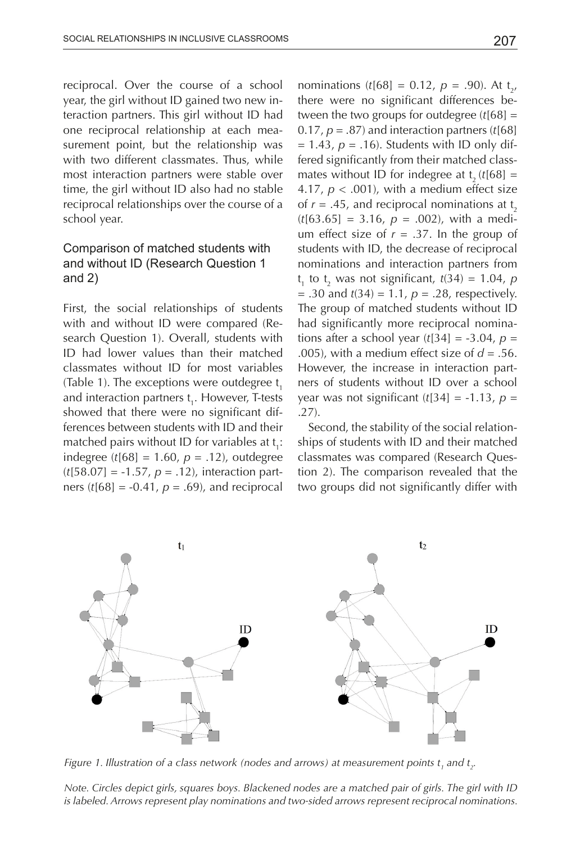reciprocal. Over the course of a school year, the girl without ID gained two new interaction partners. This girl without ID had one reciprocal relationship at each measurement point, but the relationship was with two different classmates. Thus, while most interaction partners were stable over time, the girl without ID also had no stable reciprocal relationships over the course of a school year.

# Comparison of matched students with and without ID (Research Question 1 and 2)

First, the social relationships of students with and without ID were compared (Research Question 1). Overall, students with ID had lower values than their matched classmates without ID for most variables (Table 1). The exceptions were outdegree  $t<sub>i</sub>$ and interaction partners t<sub>1</sub>. However, T-tests showed that there were no significant differences between students with ID and their matched pairs without ID for variables at  $t_i$ : indegree (*t*[68] = 1.60, *p* = .12), outdegree (*t*[58.07] = -1.57, *p* = .12), interaction partners ( $t[68] = -0.41$ ,  $p = .69$ ), and reciprocal

nominations ( $t[68] = 0.12$ ,  $p = .90$ ). At  $t_{2}$ , there were no significant differences between the two groups for outdegree (*t*[68] = 0.17,  $p = .87$ ) and interaction partners  $(t[68])$  $= 1.43$ ,  $p = .16$ ). Students with ID only differed significantly from their matched classmates without ID for indegree at  $t_a$  ( $t$ [68] = 4.17,  $p < .001$ ), with a medium effect size of  $r = .45$ , and reciprocal nominations at t<sub>2</sub>  $(t[63.65] = 3.16, p = .002)$ , with a medium effect size of  $r = .37$ . In the group of students with ID, the decrease of reciprocal nominations and interaction partners from  $t_1$  to  $t_2$  was not significant,  $t(34) = 1.04$ ,  $p_1$ = .30 and *t*(34) = 1.1, *p* = .28, respectively. The group of matched students without ID had significantly more reciprocal nominations after a school year (*t*[34] = -3.04, *p* = .005), with a medium effect size of  $d = .56$ . However, the increase in interaction partners of students without ID over a school year was not significant (*t*[34] = -1.13, *p* = .27).

Second, the stability of the social relationships of students with ID and their matched classmates was compared (Research Question 2). The comparison revealed that the two groups did not significantly differ with



*Note. Circles depict girls, squares boys. Blackened nodes are a matched pair of girls. The girl with ID is labeled. Arrows represent play nominations and two-sided arrows represent reciprocal nominations.* 

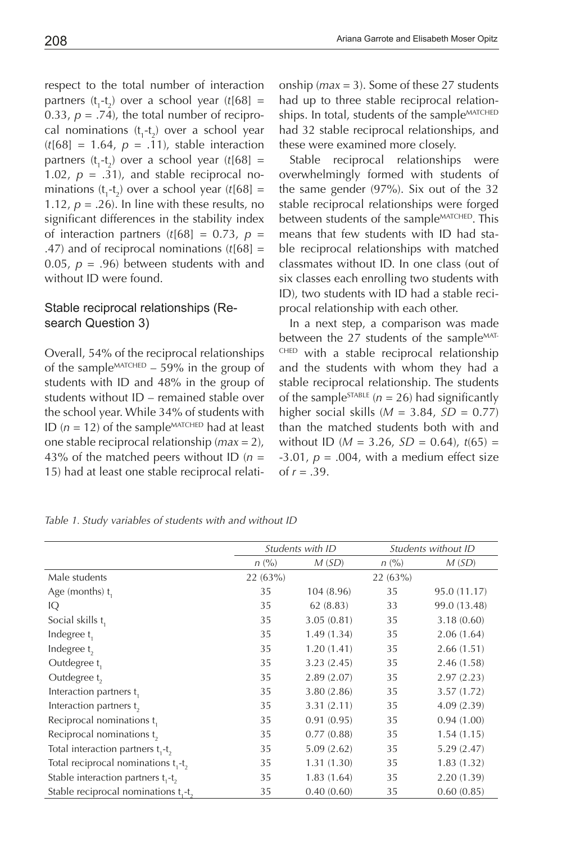respect to the total number of interaction partners  $(t_1-t_2)$  over a school year  $(t[68] =$ 0.33,  $p = .74$ ), the total number of reciprocal nominations  $(t_1-t_2)$  over a school year  $(t[68] = 1.64, p = .11)$ , stable interaction partners  $(t_1-t_2)$  over a school year  $(t[68] =$ 1.02,  $p = .31$ ), and stable reciprocal nominations  $(t_1-t_2)$  over a school year  $(t[68] =$ 1.12,  $p = .26$ ). In line with these results, no significant differences in the stability index of interaction partners  $(t[68] = 0.73, p =$ .47) and of reciprocal nominations (*t*[68] = 0.05,  $p = .96$ ) between students with and without ID were found.

# Stable reciprocal relationships (Research Question 3)

Overall, 54% of the reciprocal relationships of the sample<sup>MATCHED</sup> – 59% in the group of students with ID and 48% in the group of students without ID – remained stable over the school year. While 34% of students with ID  $(n = 12)$  of the sample<sup>MATCHED</sup> had at least one stable reciprocal relationship (*max* = 2), 43% of the matched peers without ID (*n* = 15) had at least one stable reciprocal relationship (*max* = 3). Some of these 27 students had up to three stable reciprocal relationships. In total, students of the sample<sup>MATCHED</sup> had 32 stable reciprocal relationships, and these were examined more closely.

Stable reciprocal relationships were overwhelmingly formed with students of the same gender (97%). Six out of the 32 stable reciprocal relationships were forged between students of the sample<sup>MATCHED</sup>. This means that few students with ID had stable reciprocal relationships with matched classmates without ID. In one class (out of six classes each enrolling two students with ID), two students with ID had a stable reciprocal relationship with each other.

In a next step, a comparison was made between the 27 students of the sample<sup>MAT-</sup> CHED with a stable reciprocal relationship and the students with whom they had a stable reciprocal relationship. The students of the sample<sup>STABLE</sup> ( $n = 26$ ) had significantly higher social skills  $(M = 3.84, SD = 0.77)$ than the matched students both with and without ID ( $M = 3.26$ ,  $SD = 0.64$ ),  $t(65) =$  $-3.01$ ,  $p = .004$ , with a medium effect size of  $r = .39$ .

*Table 1. Study variables of students with and without ID*

|                                                              | Students with ID |            | Students without ID |              |
|--------------------------------------------------------------|------------------|------------|---------------------|--------------|
|                                                              | n (%)            | M(SD)      | n (%)               | M(SD)        |
| Male students                                                | 22 (63%)         |            | 22(63%)             |              |
| Age (months) t,                                              | 35               | 104 (8.96) | 35                  | 95.0 (11.17) |
| IQ                                                           | 35               | 62(8.83)   | 33                  | 99.0 (13.48) |
| Social skills t,                                             | 35               | 3.05(0.81) | 35                  | 3.18(0.60)   |
| Indegree $t_1$                                               | 35               | 1.49(1.34) | 35                  | 2.06(1.64)   |
| Indegree t,                                                  | 35               | 1.20(1.41) | 35                  | 2.66(1.51)   |
| Outdegree t,                                                 | 35               | 3.23(2.45) | 35                  | 2.46 (1.58)  |
| Outdegree t                                                  | 35               | 2.89(2.07) | 35                  | 2.97(2.23)   |
| Interaction partners t <sub>1</sub>                          | 35               | 3.80(2.86) | 35                  | 3.57(1.72)   |
| Interaction partners t <sub>2</sub>                          | 35               | 3.31(2.11) | 35                  | 4.09(2.39)   |
| Reciprocal nominations t,                                    | 35               | 0.91(0.95) | 35                  | 0.94(1.00)   |
| Reciprocal nominations $t_{\gamma}$                          | 35               | 0.77(0.88) | 35                  | 1.54(1.15)   |
| Total interaction partners t <sub>1</sub> -t <sub>2</sub>    | 35               | 5.09(2.62) | 35                  | 5.29(2.47)   |
| Total reciprocal nominations t,-t,                           | 35               | 1.31(1.30) | 35                  | 1.83(1.32)   |
| Stable interaction partners t <sub>1</sub> -t <sub>2</sub>   | 35               | 1.83(1.64) | 35                  | 2.20 (1.39)  |
| Stable reciprocal nominations t <sub>1</sub> -t <sub>2</sub> | 35               | 0.40(0.60) | 35                  | 0.60(0.85)   |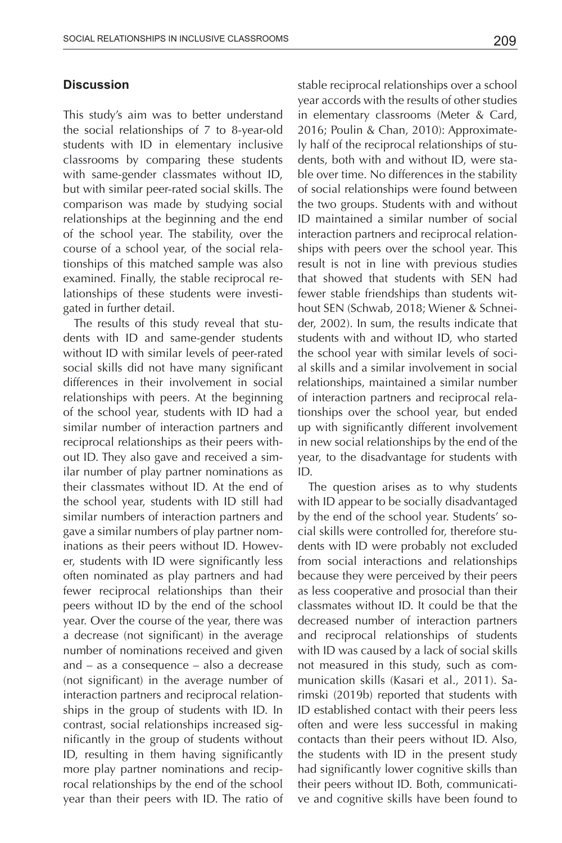# **Discussion**

This study's aim was to better understand the social relationships of 7 to 8-year-old students with ID in elementary inclusive classrooms by comparing these students with same-gender classmates without ID, but with similar peer-rated social skills. The comparison was made by studying social relationships at the beginning and the end of the school year. The stability, over the course of a school year, of the social relationships of this matched sample was also examined. Finally, the stable reciprocal relationships of these students were investigated in further detail.

The results of this study reveal that students with ID and same-gender students without ID with similar levels of peer-rated social skills did not have many significant differences in their involvement in social relationships with peers. At the beginning of the school year, students with ID had a similar number of interaction partners and reciprocal relationships as their peers without ID. They also gave and received a similar number of play partner nominations as their classmates without ID. At the end of the school year, students with ID still had similar numbers of interaction partners and gave a similar numbers of play partner nominations as their peers without ID. However, students with ID were significantly less often nominated as play partners and had fewer reciprocal relationships than their peers without ID by the end of the school year. Over the course of the year, there was a decrease (not significant) in the average number of nominations received and given and – as a consequence – also a decrease (not significant) in the average number of interaction partners and reciprocal relationships in the group of students with ID. In contrast, social relationships increased significantly in the group of students without ID, resulting in them having significantly more play partner nominations and reciprocal relationships by the end of the school year than their peers with ID. The ratio of

stable reciprocal relationships over a school year accords with the results of other studies in elementary classrooms (Meter & Card, 2016; Poulin & Chan, 2010): Approximately half of the reciprocal relationships of students, both with and without ID, were stable over time. No differences in the stability of social relationships were found between the two groups. Students with and without ID maintained a similar number of social interaction partners and reciprocal relationships with peers over the school year. This result is not in line with previous studies that showed that students with SEN had fewer stable friendships than students without SEN (Schwab, 2018; Wiener & Schneider, 2002). In sum, the results indicate that students with and without ID, who started the school year with similar levels of social skills and a similar involvement in social relationships, maintained a similar number of interaction partners and reciprocal relationships over the school year, but ended up with significantly different involvement in new social relationships by the end of the year, to the disadvantage for students with ID.

The question arises as to why students with ID appear to be socially disadvantaged by the end of the school year. Students' social skills were controlled for, therefore students with ID were probably not excluded from social interactions and relationships because they were perceived by their peers as less cooperative and prosocial than their classmates without ID. It could be that the decreased number of interaction partners and reciprocal relationships of students with ID was caused by a lack of social skills not measured in this study, such as communication skills (Kasari et al., 2011). Sarimski (2019b) reported that students with ID established contact with their peers less often and were less successful in making contacts than their peers without ID. Also, the students with ID in the present study had significantly lower cognitive skills than their peers without ID. Both, communicative and cognitive skills have been found to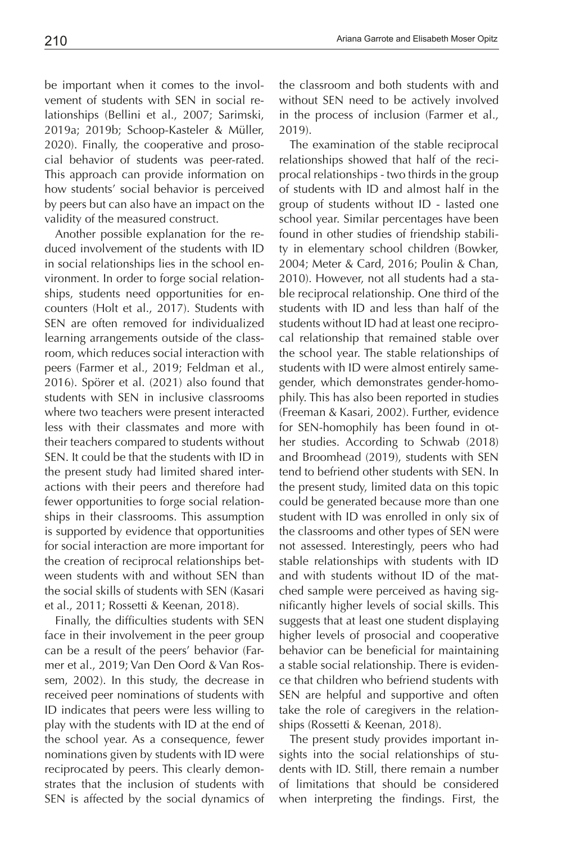2019a; 2019b; Schoop-Kasteler & Müller, 2020). Finally, the cooperative and prosocial behavior of students was peer-rated. This approach can provide information on how students' social behavior is perceived by peers but can also have an impact on the validity of the measured construct.

Another possible explanation for the reduced involvement of the students with ID in social relationships lies in the school environment. In order to forge social relationships, students need opportunities for encounters (Holt et al., 2017). Students with SEN are often removed for individualized learning arrangements outside of the classroom, which reduces social interaction with peers (Farmer et al., 2019; Feldman et al., 2016). Spörer et al. (2021) also found that students with SEN in inclusive classrooms where two teachers were present interacted less with their classmates and more with their teachers compared to students without SEN. It could be that the students with ID in the present study had limited shared interactions with their peers and therefore had fewer opportunities to forge social relationships in their classrooms. This assumption is supported by evidence that opportunities for social interaction are more important for the creation of reciprocal relationships between students with and without SEN than the social skills of students with SEN (Kasari et al., 2011; Rossetti & Keenan, 2018).

Finally, the difficulties students with SEN face in their involvement in the peer group can be a result of the peers' behavior (Farmer et al., 2019; Van Den Oord & Van Rossem, 2002). In this study, the decrease in received peer nominations of students with ID indicates that peers were less willing to play with the students with ID at the end of the school year. As a consequence, fewer nominations given by students with ID were reciprocated by peers. This clearly demonstrates that the inclusion of students with SEN is affected by the social dynamics of

the classroom and both students with and without SEN need to be actively involved in the process of inclusion (Farmer et al., 2019).

The examination of the stable reciprocal relationships showed that half of the reciprocal relationships - two thirds in the group of students with ID and almost half in the group of students without ID - lasted one school year. Similar percentages have been found in other studies of friendship stability in elementary school children (Bowker, 2004; Meter & Card, 2016; Poulin & Chan, 2010). However, not all students had a stable reciprocal relationship. One third of the students with ID and less than half of the students without ID had at least one reciprocal relationship that remained stable over the school year. The stable relationships of students with ID were almost entirely samegender, which demonstrates gender-homophily. This has also been reported in studies (Freeman & Kasari, 2002). Further, evidence for SEN-homophily has been found in other studies. According to Schwab (2018) and Broomhead (2019), students with SEN tend to befriend other students with SEN. In the present study, limited data on this topic could be generated because more than one student with ID was enrolled in only six of the classrooms and other types of SEN were not assessed. Interestingly, peers who had stable relationships with students with ID and with students without ID of the matched sample were perceived as having significantly higher levels of social skills. This suggests that at least one student displaying higher levels of prosocial and cooperative behavior can be beneficial for maintaining a stable social relationship. There is evidence that children who befriend students with SEN are helpful and supportive and often take the role of caregivers in the relationships (Rossetti & Keenan, 2018).

The present study provides important insights into the social relationships of students with ID. Still, there remain a number of limitations that should be considered when interpreting the findings. First, the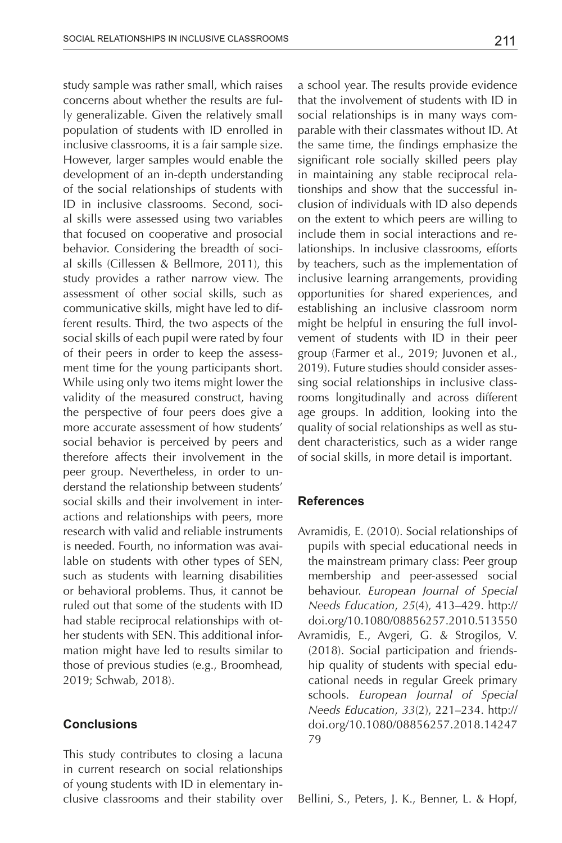study sample was rather small, which raises concerns about whether the results are fully generalizable. Given the relatively small population of students with ID enrolled in inclusive classrooms, it is a fair sample size. However, larger samples would enable the development of an in-depth understanding of the social relationships of students with ID in inclusive classrooms. Second, social skills were assessed using two variables that focused on cooperative and prosocial behavior. Considering the breadth of social skills (Cillessen & Bellmore, 2011), this study provides a rather narrow view. The assessment of other social skills, such as communicative skills, might have led to different results. Third, the two aspects of the social skills of each pupil were rated by four of their peers in order to keep the assessment time for the young participants short. While using only two items might lower the validity of the measured construct, having the perspective of four peers does give a more accurate assessment of how students' social behavior is perceived by peers and therefore affects their involvement in the peer group. Nevertheless, in order to understand the relationship between students' social skills and their involvement in interactions and relationships with peers, more research with valid and reliable instruments is needed. Fourth, no information was available on students with other types of SEN, such as students with learning disabilities or behavioral problems. Thus, it cannot be ruled out that some of the students with ID had stable reciprocal relationships with other students with SEN. This additional information might have led to results similar to those of previous studies (e.g., Broomhead, 2019; Schwab, 2018).

# **Conclusions**

This study contributes to closing a lacuna in current research on social relationships of young students with ID in elementary inclusive classrooms and their stability over

a school year. The results provide evidence that the involvement of students with ID in social relationships is in many ways comparable with their classmates without ID. At the same time, the findings emphasize the significant role socially skilled peers play in maintaining any stable reciprocal relationships and show that the successful inclusion of individuals with ID also depends on the extent to which peers are willing to include them in social interactions and relationships. In inclusive classrooms, efforts by teachers, such as the implementation of inclusive learning arrangements, providing opportunities for shared experiences, and establishing an inclusive classroom norm might be helpful in ensuring the full involvement of students with ID in their peer group (Farmer et al., 2019; Juvonen et al., 2019). Future studies should consider assessing social relationships in inclusive classrooms longitudinally and across different age groups. In addition, looking into the quality of social relationships as well as student characteristics, such as a wider range of social skills, in more detail is important.

#### **References**

- Avramidis, E. (2010). Social relationships of pupils with special educational needs in the mainstream primary class: Peer group membership and peer-assessed social behaviour. *European Journal of Special Needs Education*, *25*(4), 413–429. http:// doi.org/10.1080/08856257.2010.513550
- Avramidis, E., Avgeri, G. & Strogilos, V. (2018). Social participation and friendship quality of students with special educational needs in regular Greek primary schools. *European Journal of Special Needs Education*, *33*(2), 221–234. http:// doi.org/10.1080/08856257.2018.14247 79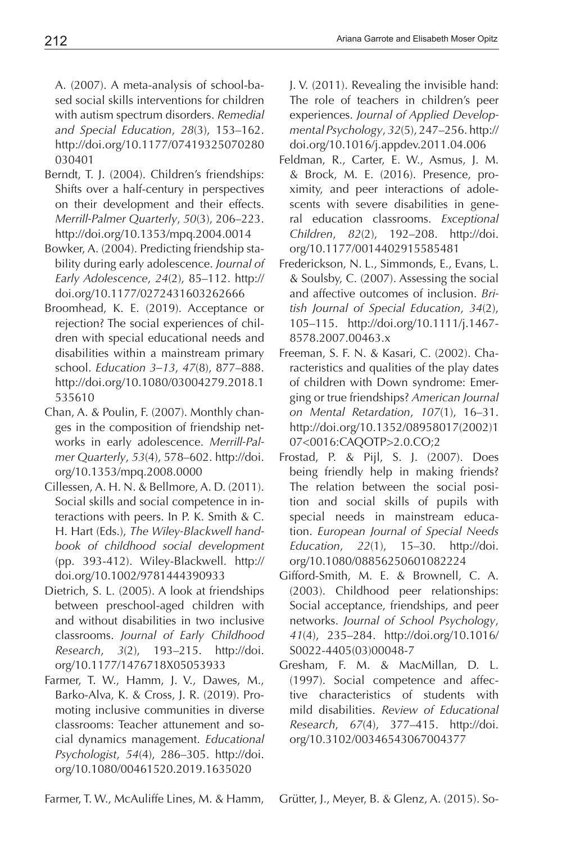A. (2007). A meta-analysis of school-based social skills interventions for children with autism spectrum disorders. *Remedial and Special Education*, *28*(3), 153–162. http://doi.org/10.1177/07419325070280 030401

- Berndt, T. J. (2004). Children's friendships: Shifts over a half-century in perspectives on their development and their effects. *Merrill-Palmer Quarterly*, *50*(3), 206–223. http://doi.org/10.1353/mpq.2004.0014
- Bowker, A. (2004). Predicting friendship stability during early adolescence. *Journal of Early Adolescence*, *24*(2), 85–112. http:// doi.org/10.1177/0272431603262666
- Broomhead, K. E. (2019). Acceptance or rejection? The social experiences of children with special educational needs and disabilities within a mainstream primary school. *Education 3–13*, *47*(8), 877–888. http://doi.org/10.1080/03004279.2018.1 535610
- Chan, A. & Poulin, F. (2007). Monthly changes in the composition of friendship networks in early adolescence. *Merrill-Palmer Quarterly*, *53*(4), 578–602. http://doi. org/10.1353/mpq.2008.0000
- Cillessen, A. H. N. & Bellmore, A. D. (2011). Social skills and social competence in interactions with peers. In P. K. Smith & C. H. Hart (Eds.), *The Wiley-Blackwell handbook of childhood social development* (pp. 393-412). Wiley-Blackwell. http:// doi.org/10.1002/9781444390933
- Dietrich, S. L. (2005). A look at friendships between preschool-aged children with and without disabilities in two inclusive classrooms. *Journal of Early Childhood Research*, *3*(2), 193–215. http://doi. org/10.1177/1476718X05053933
- Farmer, T. W., Hamm, J. V., Dawes, M., Barko-Alva, K. & Cross, J. R. (2019). Promoting inclusive communities in diverse classrooms: Teacher attunement and social dynamics management. *Educational Psychologist*, *54*(4), 286–305. http://doi. org/10.1080/00461520.2019.1635020

J. V. (2011). Revealing the invisible hand: The role of teachers in children's peer experiences. *Journal of Applied Developmental Psychology*, *32*(5), 247–256. http:// doi.org/10.1016/j.appdev.2011.04.006

- Feldman, R., Carter, E. W., Asmus, J. M. & Brock, M. E. (2016). Presence, proximity, and peer interactions of adolescents with severe disabilities in general education classrooms. *Exceptional Children*, *82*(2), 192–208. http://doi. org/10.1177/0014402915585481
- Frederickson, N. L., Simmonds, E., Evans, L. & Soulsby, C. (2007). Assessing the social and affective outcomes of inclusion. *British Journal of Special Education*, *34*(2), 105–115. http://doi.org/10.1111/j.1467- 8578.2007.00463.x
- Freeman, S. F. N. & Kasari, C. (2002). Characteristics and qualities of the play dates of children with Down syndrome: Emerging or true friendships? *American Journal on Mental Retardation*, *107*(1), 16–31. http://doi.org/10.1352/08958017(2002)1 07<0016:CAQOTP>2.0.CO;2
- Frostad, P. & Pijl, S. J. (2007). Does being friendly help in making friends? The relation between the social position and social skills of pupils with special needs in mainstream education. *European Journal of Special Needs Education*, *22*(1), 15–30. http://doi. org/10.1080/08856250601082224
- Gifford-Smith, M. E. & Brownell, C. A. (2003). Childhood peer relationships: Social acceptance, friendships, and peer networks. *Journal of School Psychology*, *41*(4), 235–284. http://doi.org/10.1016/ S0022-4405(03)00048-7
- Gresham, F. M. & MacMillan, D. L. (1997). Social competence and affective characteristics of students with mild disabilities. *Review of Educational Research*, *67*(4), 377–415. http://doi. org/10.3102/00346543067004377

Farmer, T. W., McAuliffe Lines, M. & Hamm,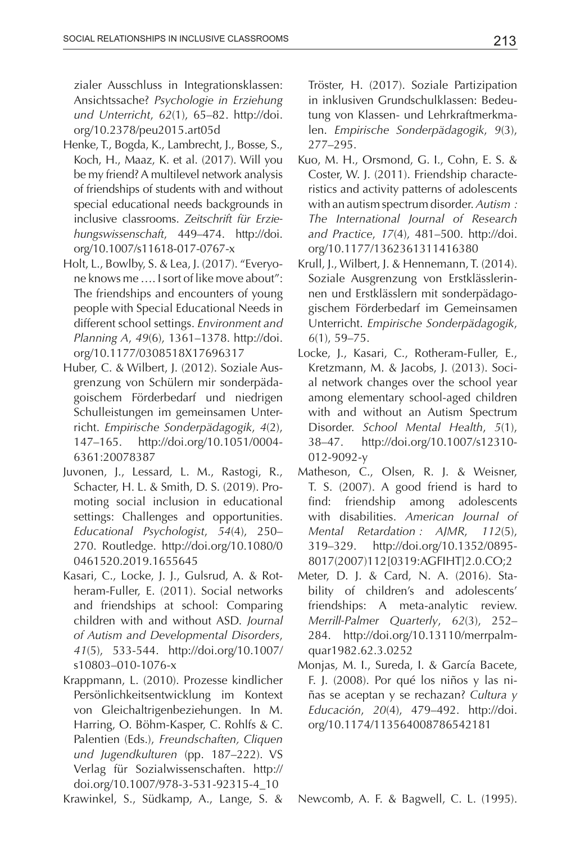zialer Ausschluss in Integrationsklassen: Ansichtssache? *Psychologie in Erziehung und Unterricht*, *62*(1), 65–82. http://doi. org/10.2378/peu2015.art05d

- Henke, T., Bogda, K., Lambrecht, J., Bosse, S., Koch, H., Maaz, K. et al. (2017). Will you be my friend? A multilevel network analysis of friendships of students with and without special educational needs backgrounds in inclusive classrooms. *Zeitschrift für Erziehungswissenschaft*, 449–474. http://doi. org/10.1007/s11618-017-0767-x
- Holt, L., Bowlby, S. & Lea, J. (2017). "Everyone knows me …. I sort of like move about": The friendships and encounters of young people with Special Educational Needs in different school settings. *Environment and Planning A*, *49*(6), 1361–1378. http://doi. org/10.1177/0308518X17696317
- Huber, C. & Wilbert, J. (2012). Soziale Ausgrenzung von Schülern mir sonderpädagoischem Förderbedarf und niedrigen Schulleistungen im gemeinsamen Unterricht. *Empirische Sonderpädagogik*, *4*(2), 147–165. http://doi.org/10.1051/0004- 6361:20078387
- Juvonen, J., Lessard, L. M., Rastogi, R., Schacter, H. L. & Smith, D. S. (2019). Promoting social inclusion in educational settings: Challenges and opportunities. *Educational Psychologist*, *54*(4), 250– 270. Routledge. http://doi.org/10.1080/0 0461520.2019.1655645
- Kasari, C., Locke, J. J., Gulsrud, A. & Rotheram-Fuller, E. (2011). Social networks and friendships at school: Comparing children with and without ASD. *Journal of Autism and Developmental Disorders*, *41*(5), 533-544. http://doi.org/10.1007/ s10803–010-1076-x
- Krappmann, L. (2010). Prozesse kindlicher Persönlichkeitsentwicklung im Kontext von Gleichaltrigenbeziehungen. In M. Harring, O. Böhm-Kasper, C. Rohlfs & C. Palentien (Eds.), *Freundschaften, Cliquen und Jugendkulturen* (pp. 187–222). VS Verlag für Sozialwissenschaften. http:// doi.org/10.1007/978-3-531-92315-4\_10
- Krawinkel, S., Südkamp, A., Lange, S. &

Tröster, H. (2017). Soziale Partizipation in inklusiven Grundschulklassen: Bedeutung von Klassen- und Lehrkraftmerkmalen. *Empirische Sonderpädagogik*, *9*(3), 277–295.

- Kuo, M. H., Orsmond, G. I., Cohn, E. S. & Coster, W. J. (2011). Friendship characteristics and activity patterns of adolescents with an autism spectrum disorder. *Autism : The International Journal of Research and Practice*, *17*(4), 481–500. http://doi. org/10.1177/1362361311416380
- Krull, J., Wilbert, J. & Hennemann, T. (2014). Soziale Ausgrenzung von Erstklässlerinnen und Erstklässlern mit sonderpädagogischem Förderbedarf im Gemeinsamen Unterricht. *Empirische Sonderpädagogik*, *6*(1), 59–75.
- Locke, J., Kasari, C., Rotheram-Fuller, E., Kretzmann, M. & Jacobs, J. (2013). Social network changes over the school year among elementary school-aged children with and without an Autism Spectrum Disorder. *School Mental Health*, *5*(1), 38–47. http://doi.org/10.1007/s12310- 012-9092-y
- Matheson, C., Olsen, R. J. & Weisner, T. S. (2007). A good friend is hard to find: friendship among adolescents with disabilities. *American Journal of Mental Retardation : AJMR*, *112*(5), 319–329. http://doi.org/10.1352/0895- 8017(2007)112[0319:AGFIHT]2.0.CO;2
- Meter, D. J. & Card, N. A. (2016). Stability of children's and adolescents' friendships: A meta-analytic review. *Merrill-Palmer Quarterly*, *62*(3), 252– 284. http://doi.org/10.13110/merrpalmquar1982.62.3.0252
- Monjas, M. I., Sureda, I. & García Bacete, F. J. (2008). Por qué los niños y las niñas se aceptan y se rechazan? *Cultura y Educación*, *20*(4), 479–492. http://doi. org/10.1174/113564008786542181

Newcomb, A. F. & Bagwell, C. L. (1995).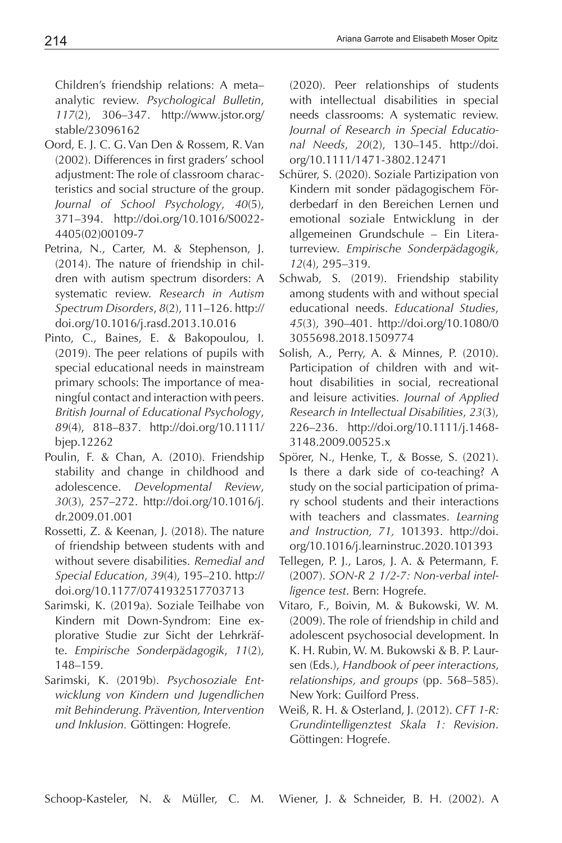Children's friendship relations: A meta– analytic review. *Psychological Bulletin*, *117*(2), 306–347. http://www.jstor.org/ stable/23096162

- Oord, E. J. C. G. Van Den & Rossem, R. Van (2002). Differences in first graders' school adjustment: The role of classroom characteristics and social structure of the group. *Journal of School Psychology*, *40*(5), 371–394. http://doi.org/10.1016/S0022- 4405(02)00109-7
- Petrina, N., Carter, M. & Stephenson, J. (2014). The nature of friendship in children with autism spectrum disorders: A systematic review. *Research in Autism Spectrum Disorders*, *8*(2), 111–126. http:// doi.org/10.1016/j.rasd.2013.10.016
- Pinto, C., Baines, E. & Bakopoulou, I. (2019). The peer relations of pupils with special educational needs in mainstream primary schools: The importance of meaningful contact and interaction with peers. *British Journal of Educational Psychology*, *89*(4), 818–837. http://doi.org/10.1111/ bjep.12262
- Poulin, F. & Chan, A. (2010). Friendship stability and change in childhood and adolescence. *Developmental Review*, *30*(3), 257–272. http://doi.org/10.1016/j. dr.2009.01.001
- Rossetti, Z. & Keenan, J. (2018). The nature of friendship between students with and without severe disabilities. *Remedial and Special Education*, *39*(4), 195–210. http:// doi.org/10.1177/0741932517703713
- Sarimski, K. (2019a). Soziale Teilhabe von Kindern mit Down-Syndrom: Eine explorative Studie zur Sicht der Lehrkräfte. *Empirische Sonderpädagogik*, *11*(2), 148–159.
- Sarimski, K. (2019b). *Psychosoziale Entwicklung von Kindern und Jugendlichen mit Behinderung. Prävention, Intervention und Inklusion.* Göttingen: Hogrefe.

(2020). Peer relationships of students with intellectual disabilities in special needs classrooms: A systematic review. *Journal of Research in Special Educational Needs*, *20*(2), 130–145. http://doi. org/10.1111/1471-3802.12471

- Schürer, S. (2020). Soziale Partizipation von Kindern mit sonder pädagogischem Förderbedarf in den Bereichen Lernen und emotional soziale Entwicklung in der allgemeinen Grundschule – Ein Literaturreview. *Empirische Sonderpädagogik*, *12*(4), 295–319.
- Schwab, S. (2019). Friendship stability among students with and without special educational needs. *Educational Studies*, *45*(3), 390–401. http://doi.org/10.1080/0 3055698.2018.1509774
- Solish, A., Perry, A. & Minnes, P. (2010). Participation of children with and without disabilities in social, recreational and leisure activities. *Journal of Applied Research in Intellectual Disabilities*, *23*(3), 226–236. http://doi.org/10.1111/j.1468- 3148.2009.00525.x
- Spörer, N., Henke, T., & Bosse, S. (2021). Is there a dark side of co-teaching? A study on the social participation of primary school students and their interactions with teachers and classmates. *Learning and Instruction, 71,* 101393. http://doi. org/10.1016/j.learninstruc.2020.101393
- Tellegen, P. J., Laros, J. A. & Petermann, F. (2007). *SON-R 2 1/2-7: Non-verbal intelligence test*. Bern: Hogrefe.
- Vitaro, F., Boivin, M. & Bukowski, W. M. (2009). The role of friendship in child and adolescent psychosocial development. In K. H. Rubin, W. M. Bukowski & B. P. Laursen (Eds.), *Handbook of peer interactions, relationships, and groups* (pp. 568–585). New York: Guilford Press.
- Weiß, R. H. & Osterland, J. (2012). *CFT 1-R: Grundintelligenztest Skala 1: Revision*. Göttingen: Hogrefe.